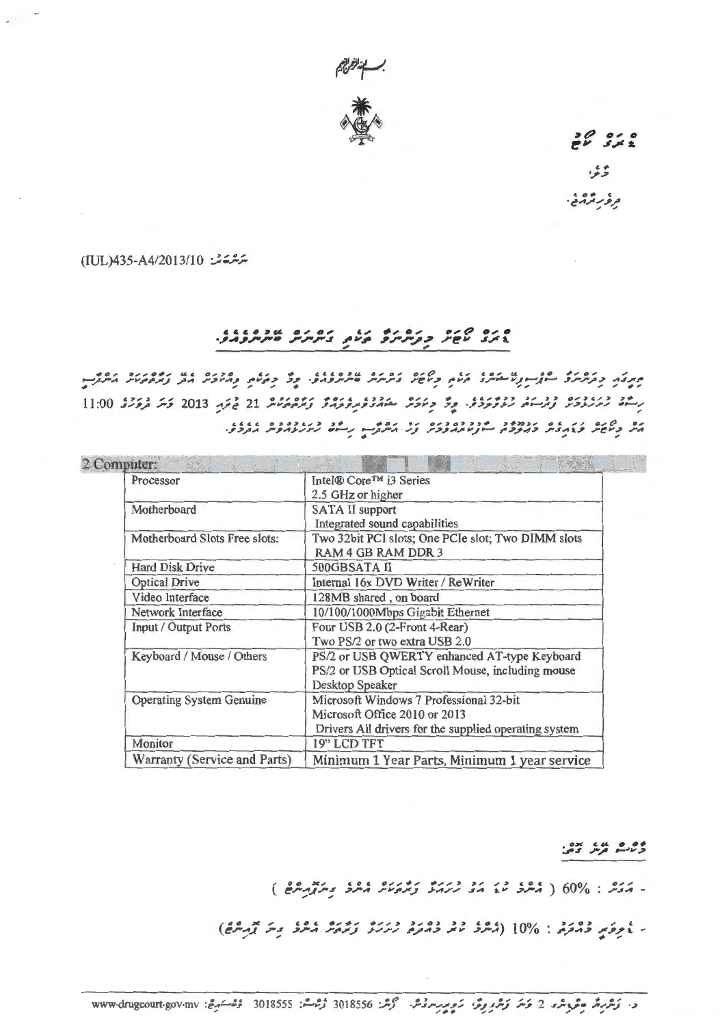

 $26312$ 

وثوثا و فر بر ترمنی.

ىترىشقىشى: TUL)435-A4/2013/10)

## ورو שפת כניתית בשם ביתית של פונים.

ميرى دىر شرىرى سەزىر ئاھكىرى كەنى دىكار ىمىرىرى ھىرىرى، دۇ دەئىي ومىدىر مەر زىرەمىد كىرۇپ رِسْمَة رُىرَرْوْدَىْر وَرْسَمْ رْوْكْرَوْدْ. وِدْ دِيَمَةْ بْعَهْدْوْمْرِوْتَهْدْ وْرْدْهْمْنْشْ 21 فْجَةِ 2013 قَسْ فْرْقَرْدْ 11:00 הל כְלְשַׁל כַּבְּתְבִית בְרְיִכְרָה הונותחפכת צְלָ הִתְרָה נְהֹל לְתְנֹתַת הוֹבְלֵל.

| Processor                       | Intel® Core™ i3 Series                                |
|---------------------------------|-------------------------------------------------------|
|                                 | 2.5 GHz or higher                                     |
| Motherboard                     | <b>SATA II support</b>                                |
|                                 | Integrated sound capabilities                         |
| Motherboard Slots Free slots:   | Two 32bit PCI slots; One PCIe slot; Two DIMM slots    |
|                                 | <b>RAM 4 GB RAM DDR 3</b>                             |
| <b>Hard Disk Drive</b>          | 500GBSATA II                                          |
| <b>Optical Drive</b>            | Internal 16x DVD Writer / ReWriter                    |
| Video Interface                 | 128MB shared, on board                                |
| Network Interface               | 10/100/1000Mbps Gigabit Ethernet                      |
| <b>Input / Output Ports</b>     | Four USB 2.0 (2-Front 4-Rear)                         |
|                                 | Two PS/2 or two extra USB 2.0                         |
| Keyboard / Mouse / Others       | PS/2 or USB QWERTY enhanced AT-type Keyboard          |
|                                 | PS/2 or USB Optical Scroll Mouse, including mouse     |
|                                 | Desktop Speaker                                       |
| <b>Operating System Genuine</b> | Microsoft Windows 7 Professional 32-bit               |
|                                 | Microsoft Office 2010 or 2013                         |
|                                 | Drivers All drivers for the supplied operating system |
| Monitor                         | 19" LCD TFT                                           |
| Warranty (Service and Parts)    | Minimum 1 Year Parts, Minimum 1 year service          |

 $(3.37.5)$  ،  $60\%$  :  $3.7\%$  ،  $3.7\%$  ،  $3.7\%$  ،  $3.7\%$  ،  $3.7\%$  .

- غُرِوَمٍ دُمْمَرُهُ : 10% (مُمْدَدُ عَمْدُ دُمْرَةً، رُسَرَتَهُ وَمُرْمَةً مُمْدَدٌ مِسَ يُرْسِمُ ﴾)

د. كَشْرِيْرْ جَوْدِشْرْ 2 حَسَّرْ كَشْرُ وِيْرْ، سَمْرِيْرْسِرْدْشْ. گَرْشْ: 3018555 دُرْسْشْ: www.drugcourt.gov.mv دُرْسْسَيْنْ: www.drugcourt.gov.mv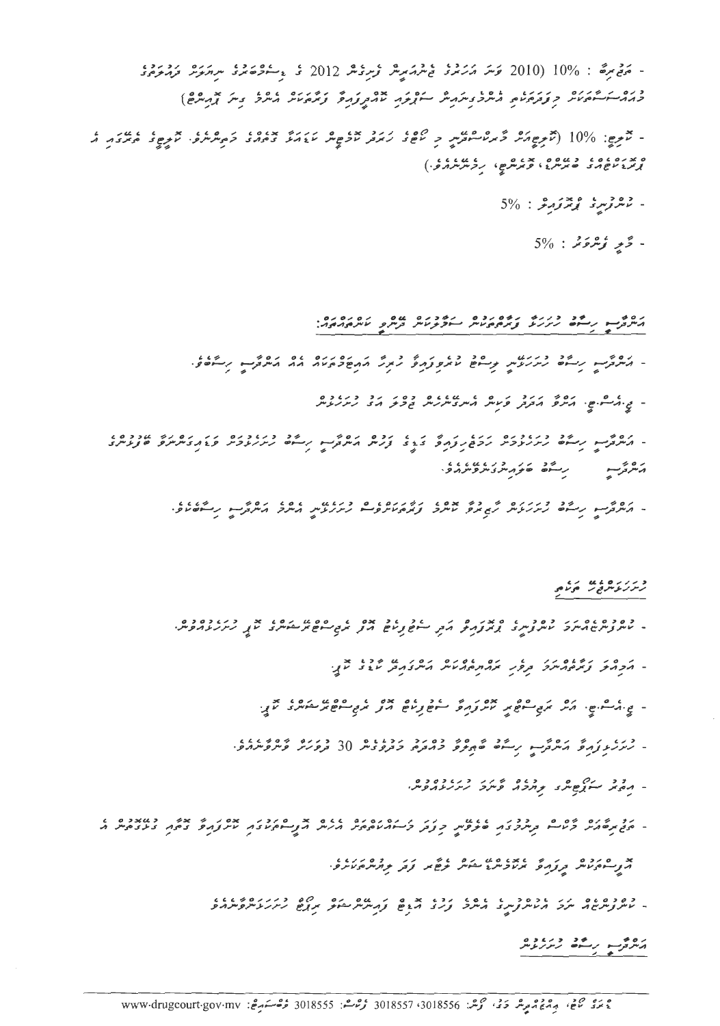- مَنْ مِرْمَة : %10 (2010 قَرْسَرَ مَرَيْرَةً فِي شَهْدَ سِيرْ وَرِدْشْر 2012 فَ وَسَوْحَةً شَرْدَ مِرْسَوَشْ د روسک میکرد و و در در در در در سر در در در در در در در در در از در در در در از در انتشار

- محرج: 10% (محرج مرد ۶ مردان و ماده ۱۰۰۵ میلادی و بازده می دارد و می دارد به در دارد و با می در این در این م<br>- تاریخ: 10% (تاریخ مرد کربردان و بازده و تاریخ کرد بازی کرد و می دارد کرم کرد کرد و میگردد از 

 $5\%$  : *بالروس و بومزم كل دا 5%* 

 $5\%$  : دُمِرٍ وُسْرَوَنْدَ : 5%

מס בין הייך לינוד הודים מים הודים מס הממשה.<br>הייתוניין הייך הייתונית ובנוסס מיית וייפיק מית המים המאוסף.

- המציע קריב בגובנס גוגב בין הבין הבס המציע קיים בגובנס גו גם הביטבנסגם<br>- המציע קריים גינגובדיו גדודק גבי צינויו המציע קייים גינגובדיו פגודויולים ובנויות متروسه رسته مزمد دربابا

- המקור מונים לי כל המים המקור המים המים המונים ביותר המקור המקור המקור.<br>- המקור המים התנקיית המיותר מיותר ובמקורית המינית המקור המקור המקור.

و رزره علا رع

- בסכס בס בס בין בסכם ביס אינו בין בין בין בין בספט בס בין בס בין בסכס בסיס.<br>- מיית צייתים מיית ציית בין אינו אונו בין בין המשון בין המשיית בין אינו בין היית המיית בין.
	- הקהק נמסחית תפק מהתפחטית היינדוקת עוב עלי
	-
	- ژىزىر زېرۇ پەرگەب رىگە ئەم ئۇ دەرد ردە بەل 30 دررە دەرە.
		-
- נד היני בים היים היים היים בין היים היים וסנים ומודים מודוני מודוני מודי היים בין הממודים ו<br>- הבן הסוגיו בעיייו הייתכנו סיבים, כנבר ביייון מהם אינויו והניייו המוני עינונים ביתו בנציאייו ו
	- . כסכסום נינ וסכם נו ובסג וכו אבס נינוס להמשתעות בין הספינות בין הרובים.<br>- מינוק נינוס זה בין זה מינוק לינוק בין המשתעות המינוק בין המינוק בינוק בינוק בין זה

رەم بەستە دىرىدە<br>مىروسى رىستە رىزرىدى